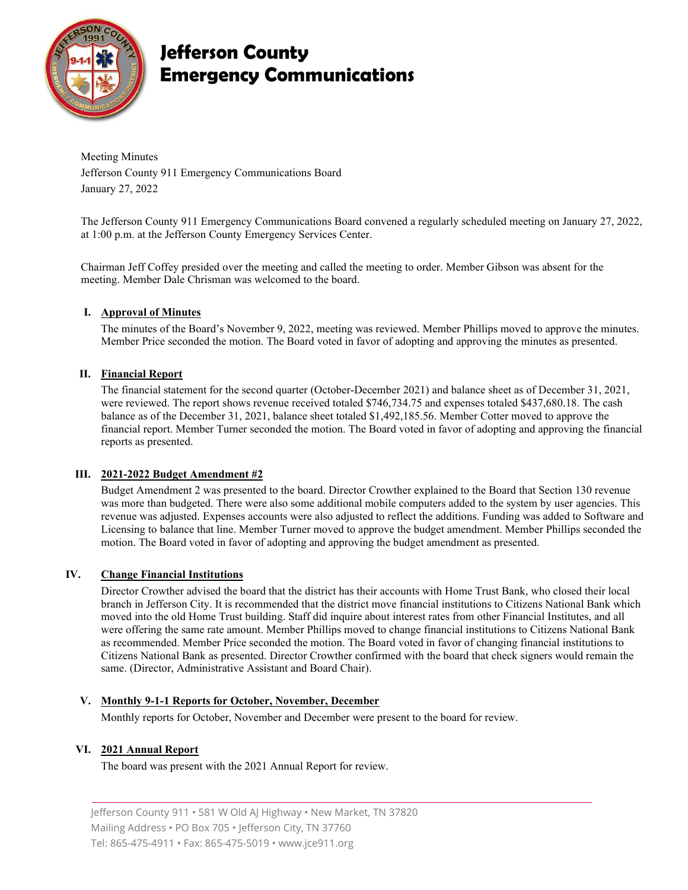

# **Jefferson County Emergency Communications**

Meeting Minutes Jefferson County 911 Emergency Communications Board January 27, 2022

The Jefferson County 911 Emergency Communications Board convened a regularly scheduled meeting on January 27, 2022, at 1:00 p.m. at the Jefferson County Emergency Services Center.

Chairman Jeff Coffey presided over the meeting and called the meeting to order. Member Gibson was absent for the meeting. Member Dale Chrisman was welcomed to the board.

# **I. Approval of Minutes**

The minutes of the Board's November 9, 2022, meeting was reviewed. Member Phillips moved to approve the minutes. Member Price seconded the motion. The Board voted in favor of adopting and approving the minutes as presented.

# **II. Financial Report**

The financial statement for the second quarter (October-December 2021) and balance sheet as of December 31, 2021, were reviewed. The report shows revenue received totaled \$746,734.75 and expenses totaled \$437,680.18. The cash balance as of the December 31, 2021, balance sheet totaled \$1,492,185.56. Member Cotter moved to approve the financial report. Member Turner seconded the motion. The Board voted in favor of adopting and approving the financial reports as presented.

#### **III. 2021-2022 Budget Amendment #2**

Budget Amendment 2 was presented to the board. Director Crowther explained to the Board that Section 130 revenue was more than budgeted. There were also some additional mobile computers added to the system by user agencies. This revenue was adjusted. Expenses accounts were also adjusted to reflect the additions. Funding was added to Software and Licensing to balance that line. Member Turner moved to approve the budget amendment. Member Phillips seconded the motion. The Board voted in favor of adopting and approving the budget amendment as presented.

#### **IV. Change Financial Institutions**

Director Crowther advised the board that the district has their accounts with Home Trust Bank, who closed their local branch in Jefferson City. It is recommended that the district move financial institutions to Citizens National Bank which moved into the old Home Trust building. Staff did inquire about interest rates from other Financial Institutes, and all were offering the same rate amount. Member Phillips moved to change financial institutions to Citizens National Bank as recommended. Member Price seconded the motion. The Board voted in favor of changing financial institutions to Citizens National Bank as presented. Director Crowther confirmed with the board that check signers would remain the same. (Director, Administrative Assistant and Board Chair).

#### **V. Monthly 9-1-1 Reports for October, November, December**

Monthly reports for October, November and December were present to the board for review.

#### **VI. 2021 Annual Report**

The board was present with the 2021 Annual Report for review.